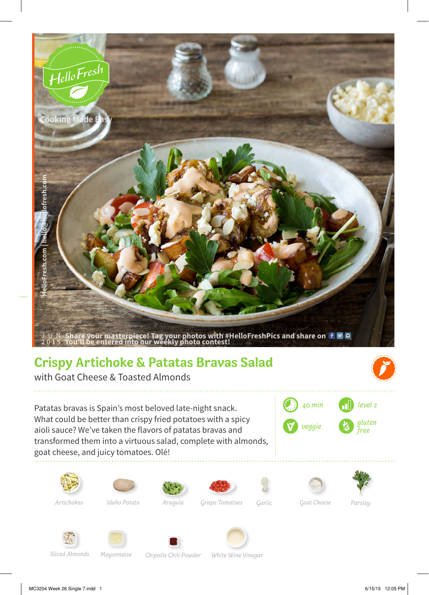

*Arugula*

*Idaho Potato Garlic Grape Tomatoes Artichokes Goat Cheese*

*White Wine Vinegar*

*Chipotle Chili Powder*

*Sliced Almonds*

*Mayonnaise*

*Parsley*